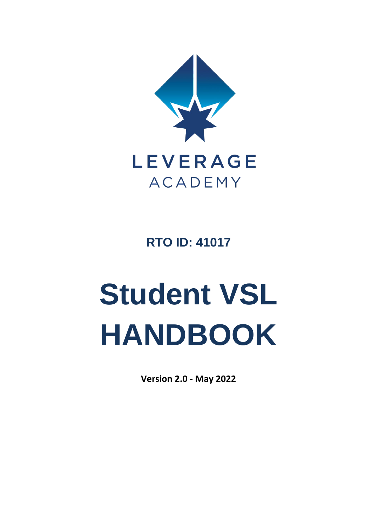

**RTO ID: 41017**

# **Student VSL HANDBOOK**

**Version 2.0 - May 2022**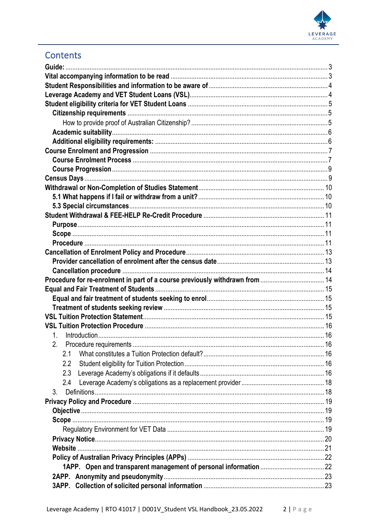

## Contents

| Procedure for re-enrolment in part of a course previously withdrawn from  14 |  |
|------------------------------------------------------------------------------|--|
|                                                                              |  |
|                                                                              |  |
|                                                                              |  |
|                                                                              |  |
|                                                                              |  |
| 1.                                                                           |  |
|                                                                              |  |
| 2.1                                                                          |  |
| 2.2                                                                          |  |
| 2.3                                                                          |  |
| 2.4                                                                          |  |
| 3 <sub>1</sub>                                                               |  |
|                                                                              |  |
|                                                                              |  |
|                                                                              |  |
|                                                                              |  |
|                                                                              |  |
|                                                                              |  |
|                                                                              |  |
|                                                                              |  |
|                                                                              |  |
|                                                                              |  |
|                                                                              |  |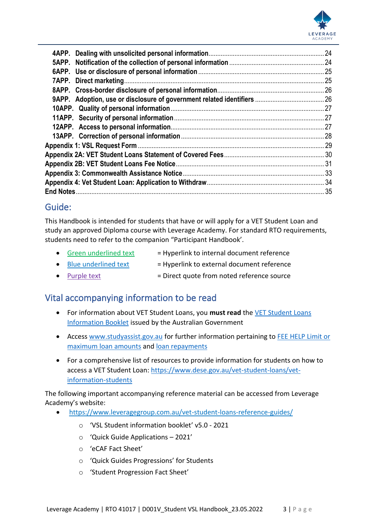

## <span id="page-2-0"></span>Guide:

This Handbook is intended for students that have or will apply for a VET Student Loan and study an approved Diploma course with Leverage Academy. For standard RTO requirements, students need to refer to the companion "Participant Handbook'.

- Green underlined text  $=$  Hyperlink to internal document reference
- $\bullet$  Blue underlined text  $=$  Hyperlink to external document reference
- Purple text = Direct quote from noted reference source

## <span id="page-2-1"></span>Vital accompanying information to be read

- For information about VET Student Loans, you **must read** the [VET Student Loans](https://docs.education.gov.au/node/42391)  [Information Booklet](https://docs.education.gov.au/node/42391) issued by the Australian Government
- Access [www.studyassist.gov.au](https://www.studyassist.gov.au/vet-students/vet-student-loans) for further information pertaining to [FEE HELP Limit or](https://www.studyassist.gov.au/help-loans/fee-help)  [maximum loan amounts](https://www.studyassist.gov.au/help-loans/fee-help) and [loan repayments](https://www.studyassist.gov.au/paying-back-your-loan/loan-repayment#WhenDoIHaveToRepayMyHELPDebt)
- For a comprehensive list of resources to provide information for students on how to access a VET Student Loan: [https://www.dese.gov.au/vet-student-loans/vet](https://www.dese.gov.au/vet-student-loans/vet-information-students)[information-students](https://www.dese.gov.au/vet-student-loans/vet-information-students)

The following important accompanying reference material can be accessed from Leverage Academy's website:

- <https://www.leveragegroup.com.au/vet-student-loans-reference-guides/>
	- o 'VSL Student information booklet' v5.0 2021
	- o 'Quick Guide Applications 2021'
	- o 'eCAF Fact Sheet'
	- o 'Quick Guides Progressions' for Students
	- o 'Student Progression Fact Sheet'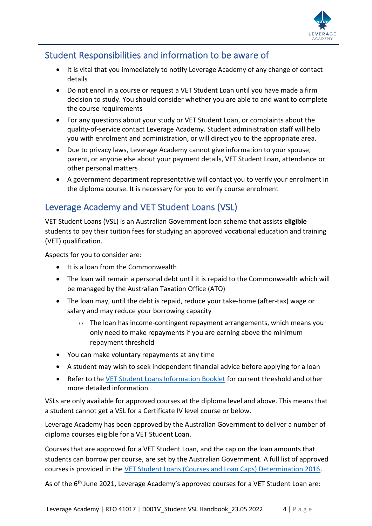

## <span id="page-3-0"></span>Student Responsibilities and information to be aware of

- It is vital that you immediately to notify Leverage Academy of any change of contact details
- Do not enrol in a course or request a VET Student Loan until you have made a firm decision to study. You should consider whether you are able to and want to complete the course requirements
- For any questions about your study or VET Student Loan, or complaints about the quality-of-service contact Leverage Academy. Student administration staff will help you with enrolment and administration, or will direct you to the appropriate area.
- Due to privacy laws, Leverage Academy cannot give information to your spouse, parent, or anyone else about your payment details, VET Student Loan, attendance or other personal matters
- A government department representative will contact you to verify your enrolment in the diploma course. It is necessary for you to verify course enrolment

## <span id="page-3-1"></span>Leverage Academy and VET Student Loans (VSL)

VET Student Loans (VSL) is an Australian Government loan scheme that assists **eligible** students to pay their tuition fees for studying an approved vocational education and training (VET) qualification.

Aspects for you to consider are:

- It is a loan from the Commonwealth
- The loan will remain a personal debt until it is repaid to the Commonwealth which will be managed by the Australian Taxation Office (ATO)
- The loan may, until the debt is repaid, reduce your take-home (after-tax) wage or salary and may reduce your borrowing capacity
	- o The loan has income-contingent repayment arrangements, which means you only need to make repayments if you are earning above the minimum repayment threshold
- You can make voluntary repayments at any time
- A student may wish to seek independent financial advice before applying for a loan
- Refer to the [VET Student Loans Information Booklet](https://docs.education.gov.au/node/42391) for current threshold and other more detailed information

VSLs are only available for approved courses at the diploma level and above. This means that a student cannot get a VSL for a Certificate IV level course or below.

Leverage Academy has been approved by the Australian Government to deliver a number of diploma courses eligible for a VET Student Loan.

Courses that are approved for a VET Student Loan, and the cap on the loan amounts that students can borrow per course, are set by the Australian Government. A full list of approved courses is provided in the [VET Student Loans \(Courses and Loan Caps\) Determination 2016.](https://www.legislation.gov.au/Series/F2016L02016#primary-content)

As of the 6<sup>th</sup> June 2021, Leverage Academy's approved courses for a VET Student Loan are: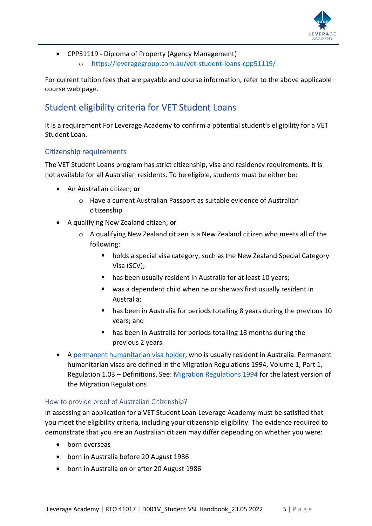

• CPP51119 - Diploma of Property (Agency Management) o <https://leveragegroup.com.au/vet-student-loans-cpp51119/>

For current tuition fees that are payable and course information, refer to the above applicable course web page.

## <span id="page-4-0"></span>Student eligibility criteria for VET Student Loans

It is a requirement For Leverage Academy to confirm a potential student's eligibility for a VET Student Loan.

#### <span id="page-4-1"></span>Citizenship requirements

The VET Student Loans program has strict citizenship, visa and residency requirements. It is not available for all Australian residents. To be eligible, students must be either be:

- An Australian citizen; **or**
	- o Have a current Australian Passport as suitable evidence of Australian citizenship
- A qualifying New Zealand citizen; **or**
	- $\circ$  A qualifying New Zealand citizen is a New Zealand citizen who meets all of the following:
		- holds a special visa category, such as the New Zealand Special Category Visa (SCV);
		- has been usually resident in Australia for at least 10 years;
		- was a dependent child when he or she was first usually resident in Australia;
		- has been in Australia for periods totalling 8 years during the previous 10 years; and
		- has been in Australia for periods totalling 18 months during the previous 2 years.
- A permanent humanitarian visa holder, who is usually resident in Australia. Permanent humanitarian visas are defined in the Migration Regulations 1994, Volume 1, Part 1, Regulation 1.03 – Definitions. See: [Migration Regulations 1994](https://www.legislation.gov.au/Series/F1996B03551) for the latest version of the Migration Regulations

#### <span id="page-4-2"></span>How to provide proof of Australian Citizenship?

In assessing an application for a VET Student Loan Leverage Academy must be satisfied that you meet the eligibility criteria, including your citizenship eligibility. The evidence required to demonstrate that you are an Australian citizen may differ depending on whether you were:

- born overseas
- born in Australia before 20 August 1986
- born in Australia on or after 20 August 1986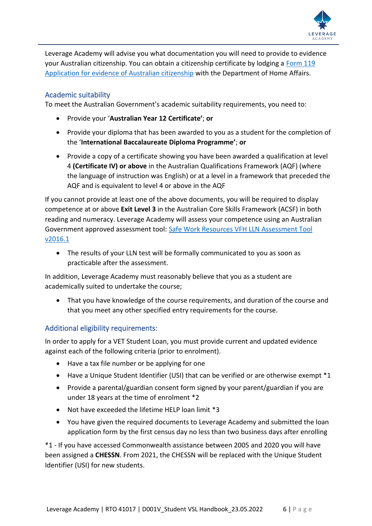

Leverage Academy will advise you what documentation you will need to provide to evidence your Australian citizenship. You can obtain a citizenship certificate by lodging a [Form 119](https://immi.homeaffairs.gov.au/citizenship/certificate)  [Application for evidence of Australian citizenship](https://immi.homeaffairs.gov.au/citizenship/certificate) with the Department of Home Affairs.

#### <span id="page-5-0"></span>Academic suitability

To meet the Australian Government's academic suitability requirements, you need to:

- Provide your '**Australian Year 12 Certificate'**; **or**
- Provide your diploma that has been awarded to you as a student for the completion of the '**International Baccalaureate Diploma Programme'**; **or**
- Provide a copy of a certificate showing you have been awarded a qualification at level 4 **(Certificate IV) or above** in the Australian Qualifications Framework (AQF) (where the language of instruction was English) or at a level in a framework that preceded the AQF and is equivalent to level 4 or above in the AQF

If you cannot provide at least one of the above documents, you will be required to display competence at or above **Exit Level 3** in the Australian Core Skills Framework (ACSF) in both reading and numeracy. Leverage Academy will assess your competence using an Australian Government approved assessment tool: [Safe Work Resources VFH LLN Assessment Tool](https://tlrg.com.au/)  [v2016.1](https://tlrg.com.au/)

• The results of your LLN test will be formally communicated to you as soon as practicable after the assessment.

In addition, Leverage Academy must reasonably believe that you as a student are academically suited to undertake the course;

• That you have knowledge of the course requirements, and duration of the course and that you meet any other specified entry requirements for the course.

#### <span id="page-5-1"></span>Additional eligibility requirements:

In order to apply for a VET Student Loan, you must provide current and updated evidence against each of the following criteria (prior to enrolment).

- Have a tax file number or be applying for one
- Have a Unique Student Identifier (USI) that can be verified or are otherwise exempt \*1
- Provide a parental/guardian consent form signed by your parent/guardian if you are under 18 years at the time of enrolment \*2
- Not have exceeded the lifetime HELP loan limit \*3
- You have given the required documents to Leverage Academy and submitted the loan application form by the first census day no less than two business days after enrolling

\*1 - If you have accessed Commonwealth assistance between 2005 and 2020 you will have been assigned a **CHESSN**. From 2021, the CHESSN will be replaced with the Unique Student Identifier (USI) for new students.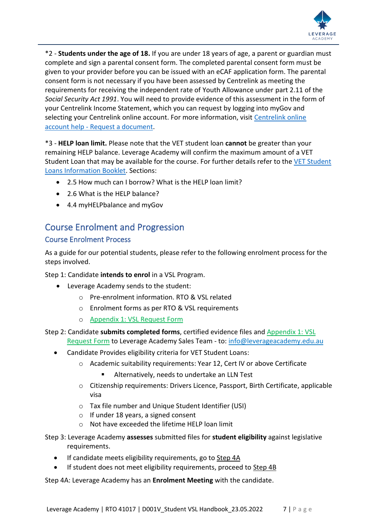

\*2 - **Students under the age of 18.** If you are under 18 years of age, a parent or guardian must complete and sign a parental consent form. The completed parental consent form must be given to your provider before you can be issued with an eCAF application form. The parental consent form is not necessary if you have been assessed by Centrelink as meeting the requirements for receiving the independent rate of Youth Allowance under part 2.11 of the *Social Security Act 1991*. You will need to provide evidence of this assessment in the form of your Centrelink Income Statement, which you can request by logging into myGov and selecting your Centrelink online account. For more information, visit [Centrelink online](https://www.servicesaustralia.gov.au/individuals/online-help/centrelink/request-document-using-your-centrelink-online-account)  account help - [Request a document.](https://www.servicesaustralia.gov.au/individuals/online-help/centrelink/request-document-using-your-centrelink-online-account)

\*3 - **HELP loan limit.** Please note that the VET student loan **cannot** be greater than your remaining HELP balance. Leverage Academy will confirm the maximum amount of a VET Student Loan that may be available for the course. For further details refer to the [VET Student](https://docs.education.gov.au/node/42391)  [Loans Information Booklet.](https://docs.education.gov.au/node/42391) Sections:

- 2.5 How much can I borrow? What is the HELP loan limit?
- 2.6 What is the HELP balance?
- 4.4 myHELPbalance and myGov

## <span id="page-6-0"></span>Course Enrolment and Progression

#### <span id="page-6-1"></span>Course Enrolment Process

As a guide for our potential students, please refer to the following enrolment process for the steps involved.

Step 1: Candidate **intends to enrol** in a VSL Program.

- Leverage Academy sends to the student:
	- o Pre-enrolment information. RTO & VSL related
	- o Enrolment forms as per RTO & VSL requirements
	- o [Appendix 1: VSL Request Form](#page-28-0)

#### Step 2: Candidate **submits completed forms**, certified evidence files and [Appendix 1: VSL](#page-28-0)  [Request Form](#page-28-0) to Leverage Academy Sales Team - to[: info@leverageacademy.edu.au](mailto:info@leverageacademy.edu.au)

- Candidate Provides eligibility criteria for VET Student Loans:
	- o Academic suitability requirements: Year 12, Cert IV or above Certificate
		- Alternatively, needs to undertake an LLN Test
	- o Citizenship requirements: Drivers Licence, Passport, Birth Certificate, applicable visa
	- o Tax file number and Unique Student Identifier (USI)
	- o If under 18 years, a signed consent
	- o Not have exceeded the lifetime HELP loan limit

Step 3: Leverage Academy **assesses** submitted files for **student eligibility** against legislative requirements.

- If candidate meets eligibility requirements, go to Step 4A
- If student does not meet eligibility requirements, proceed to Step 4B

Step 4A: Leverage Academy has an **Enrolment Meeting** with the candidate.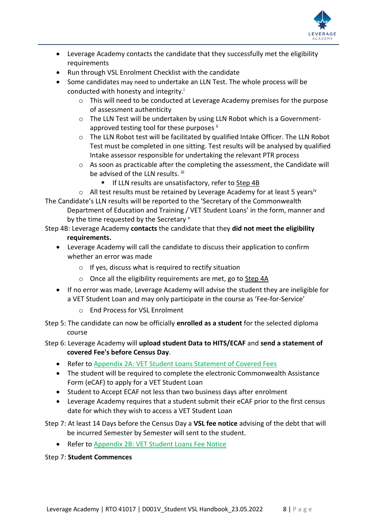

- Leverage Academy contacts the candidate that they successfully met the eligibility requirements
- Run through VSL Enrolment Checklist with the candidate
- Some candidates may need to undertake an LLN Test. The whole process will be conducted with honesty and integrity.
	- o This will need to be conducted at Leverage Academy premises for the purpose of assessment authenticity
	- o The LLN Test will be undertaken by using LLN Robot which is a Governmentapproved testing tool for these purposes  $\mathbb{I}^i$
	- o The LLN Robot test will be facilitated by qualified Intake Officer. The LLN Robot Test must be completed in one sitting. Test results will be analysed by qualified Intake assessor responsible for undertaking the relevant PTR process
	- o As soon as practicable after the completing the assessment, the Candidate will be advised of the LLN results. iii
		- If LLN results are unsatisfactory, refer to Step 4B

 $\circ$  All test results must be retained by Leverage Academy for at least 5 years<sup>iv</sup> The Candidate's LLN results will be reported to the 'Secretary of the Commonwealth Department of Education and Training / VET Student Loans' in the form, manner and by the time requested by the Secretary  $\vee$ 

- Step 4B: Leverage Academy **contacts** the candidate that they **did not meet the eligibility requirements.**
	- Leverage Academy will call the candidate to discuss their application to confirm whether an error was made
		- o If yes, discuss what is required to rectify situation
		- o Once all the eligibility requirements are met, go to Step 4A
	- If no error was made, Leverage Academy will advise the student they are ineligible for a VET Student Loan and may only participate in the course as 'Fee-for-Service'
		- o End Process for VSL Enrolment

Step 5: The candidate can now be officially **enrolled as a student** for the selected diploma course

#### Step 6: Leverage Academy will **upload student Data to HITS/ECAF** and **send a statement of covered Fee's before Census Day**.

- Refer to [Appendix 2A: VET Student Loans Statement of Covered Fees](#page-29-0)
- The student will be required to complete the electronic Commonwealth Assistance Form (eCAF) to apply for a VET Student Loan
- Student to Accept ECAF not less than two business days after enrolment
- Leverage Academy requires that a student submit their eCAF prior to the first census date for which they wish to access a VET Student Loan

Step 7: At least 14 Days before the Census Day a **VSL fee notice** advising of the debt that will be incurred Semester by Semester will sent to the student.

• Refer to [Appendix 2B: VET Student Loans Fee Notice](#page-30-0)

#### Step 7: **Student Commences**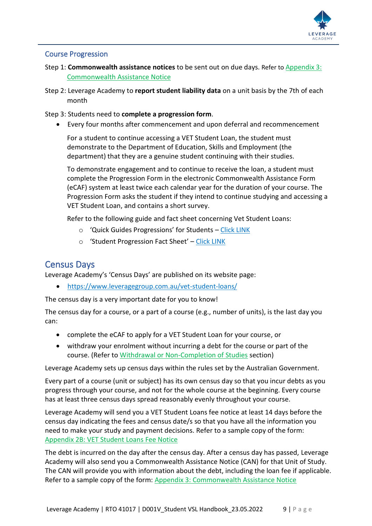

#### <span id="page-8-0"></span>Course Progression

- Step 1: **Commonwealth assistance notices** to be sent out on due days. Refer to Appendix 3: Commonwealth Assistance Notice
- Step 2: Leverage Academy to **report student liability data** on a unit basis by the 7th of each month
- Step 3: Students need to **complete a progression form**.
	- Every four months after commencement and upon deferral and recommencement

For a student to continue accessing a VET Student Loan, the student must demonstrate to the Department of Education, Skills and Employment (the department) that they are a genuine student continuing with their studies.

To demonstrate engagement and to continue to receive the loan, a student must complete the Progression Form in the electronic Commonwealth Assistance Form (eCAF) system at least twice each calendar year for the duration of your course. The Progression Form asks the student if they intend to continue studying and accessing a VET Student Loan, and contains a short survey.

Refer to the following guide and fact sheet concerning Vet Student Loans:

- o 'Quick Guides Progressions' for Students [Click LINK](https://www.leveragegroup.com.au/vet-student-loans-reference-guides/)
- o 'Student Progression Fact Sheet' [Click LINK](https://www.leveragegroup.com.au/vet-student-loans-reference-guides/)

#### <span id="page-8-1"></span>Census Days

Leverage Academy's 'Census Days' are published on its website page:

• <https://www.leveragegroup.com.au/vet-student-loans/>

The census day is a very important date for you to know!

The census day for a course, or a part of a course (e.g., number of units), is the last day you can:

- complete the eCAF to apply for a VET Student Loan for your course, or
- withdraw your enrolment without incurring a debt for the course or part of the course. (Refer t[o Withdrawal or Non-Completion of Studies](#page-9-0) section)

Leverage Academy sets up census days within the rules set by the Australian Government.

Every part of a course (unit or subject) has its own census day so that you incur debts as you progress through your course, and not for the whole course at the beginning. Every course has at least three census days spread reasonably evenly throughout your course.

Leverage Academy will send you a VET Student Loans fee notice at least 14 days before the census day indicating the fees and census date/s so that you have all the information you need to make your study and payment decisions. Refer to a sample copy of the form: [Appendix 2B: VET Student Loans Fee Notice](#page-30-0)

The debt is incurred on the day after the census day. After a census day has passed, Leverage Academy will also send you a Commonwealth Assistance Notice (CAN) for that Unit of Study. The CAN will provide you with information about the debt, including the loan fee if applicable. Refer to a sample copy of the form: Appendix 3: Commonwealth Assistance Notice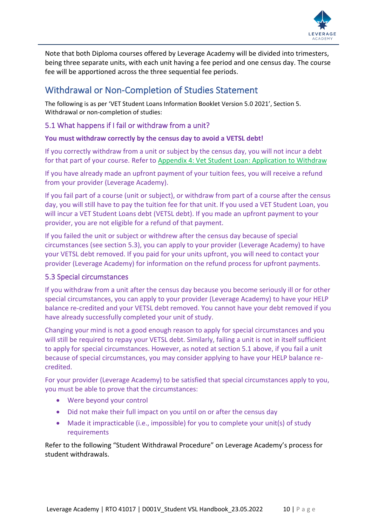

Note that both Diploma courses offered by Leverage Academy will be divided into trimesters, being three separate units, with each unit having a fee period and one census day. The course fee will be apportioned across the three sequential fee periods.

## <span id="page-9-0"></span>Withdrawal or Non-Completion of Studies Statement

The following is as per 'VET Student Loans Information Booklet Version 5.0 2021', Section 5. Withdrawal or non-completion of studies:

#### <span id="page-9-1"></span>5.1 What happens if I fail or withdraw from a unit?

#### **You must withdraw correctly by the census day to avoid a VETSL debt!**

If you correctly withdraw from a unit or subject by the census day, you will not incur a debt for that part of your course. Refer t[o Appendix 4: Vet Student Loan: Application](#page-33-0) to Withdraw

If you have already made an upfront payment of your tuition fees, you will receive a refund from your provider (Leverage Academy).

If you fail part of a course (unit or subject), or withdraw from part of a course after the census day, you will still have to pay the tuition fee for that unit. If you used a VET Student Loan, you will incur a VET Student Loans debt (VETSL debt). If you made an upfront payment to your provider, you are not eligible for a refund of that payment.

If you failed the unit or subject or withdrew after the census day because of special circumstances (see section 5.3), you can apply to your provider (Leverage Academy) to have your VETSL debt removed. If you paid for your units upfront, you will need to contact your provider (Leverage Academy) for information on the refund process for upfront payments.

#### <span id="page-9-2"></span>5.3 Special circumstances

If you withdraw from a unit after the census day because you become seriously ill or for other special circumstances, you can apply to your provider (Leverage Academy) to have your HELP balance re-credited and your VETSL debt removed. You cannot have your debt removed if you have already successfully completed your unit of study.

Changing your mind is not a good enough reason to apply for special circumstances and you will still be required to repay your VETSL debt. Similarly, failing a unit is not in itself sufficient to apply for special circumstances. However, as noted at section 5.1 above, if you fail a unit because of special circumstances, you may consider applying to have your HELP balance recredited.

For your provider (Leverage Academy) to be satisfied that special circumstances apply to you, you must be able to prove that the circumstances:

- Were beyond your control
- Did not make their full impact on you until on or after the census day
- Made it impracticable (i.e., impossible) for you to complete your unit(s) of study requirements

Refer to the following "Student Withdrawal Procedure" on Leverage Academy's process for student withdrawals.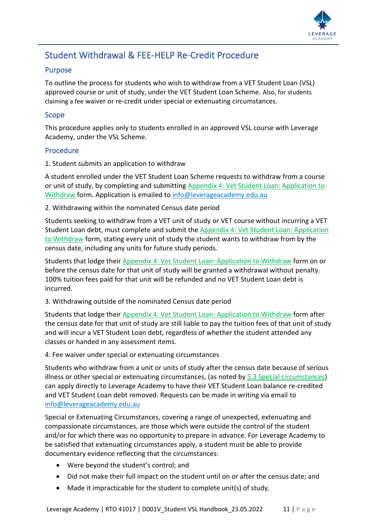

## <span id="page-10-0"></span>Student Withdrawal & FEE-HELP Re-Credit Procedure

#### <span id="page-10-1"></span>Purpose

To outline the process for students who wish to withdraw from a VET Student Loan (VSL) approved course or unit of study, under the VET Student Loan Scheme. Also, for students claiming a fee waiver or re-credit under special or extenuating circumstances.

#### <span id="page-10-2"></span>Scope

This procedure applies only to students enrolled in an approved VSL course with Leverage Academy, under the VSL Scheme.

#### <span id="page-10-3"></span>Procedure

1. Student submits an application to withdraw

A student enrolled under the VET Student Loan Scheme requests to withdraw from a course or unit of study, by completing and submitting [Appendix 4: Vet Student Loan: Application to](#page-33-0)  [Withdraw](#page-33-0) form. Application is emailed to [info@leverageacademy.edu.au](mailto:info@leverageacademy.edu.au)

2. Withdrawing within the nominated Census date period

Students seeking to withdraw from a VET unit of study or VET course without incurring a VET Student Loan debt, must complete and submit the [Appendix 4: Vet Student Loan: Application](#page-33-0)  [to Withdraw](#page-33-0) form, stating every unit of study the student wants to withdraw from by the census date, including any units for future study periods.

Students that lodge their [Appendix 4: Vet Student Loan: Application to Withdraw](#page-33-0) form on or before the census date for that unit of study will be granted a withdrawal without penalty. 100% tuition fees paid for that unit will be refunded and no VET Student Loan debt is incurred.

3. Withdrawing outside of the nominated Census date period

Students that lodge their [Appendix 4: Vet Student Loan: Application to Withdraw](#page-33-0) form after the census date for that unit of study are still liable to pay the tuition fees of that unit of study and will incur a VET Student Loan debt, regardless of whether the student attended any classes or handed in any assessment items.

#### 4. Fee waiver under special or extenuating circumstances

Students who withdraw from a unit or units of study after the census date because of serious illness or other special or extenuating circumstances, (as noted b[y 5.3 Special circumstances\)](#page-9-2) can apply directly to Leverage Academy to have their VET Student Loan balance re-credited and VET Student Loan debt removed. Requests can be made in writing via email to [info@leverageacademy.edu.au](mailto:info@leverageacademy.edu.au)

Special or Extenuating Circumstances, covering a range of unexpected, extenuating and compassionate circumstances, are those which were outside the control of the student and/or for which there was no opportunity to prepare in advance. For Leverage Academy to be satisfied that extenuating circumstances apply, a student must be able to provide documentary evidence reflecting that the circumstances:

- Were beyond the student's control; and
- Did not make their full impact on the student until on or after the census date; and
- Made it impracticable for the student to complete unit(s) of study.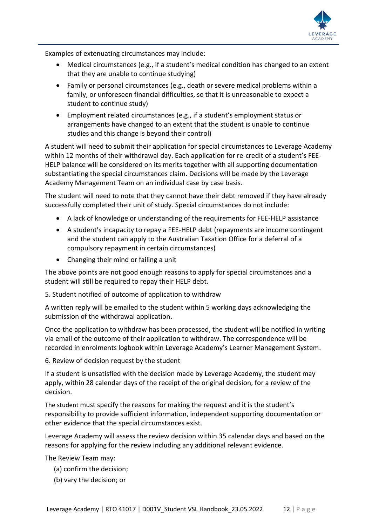

Examples of extenuating circumstances may include:

- Medical circumstances (e.g., if a student's medical condition has changed to an extent that they are unable to continue studying)
- Family or personal circumstances (e.g., death or severe medical problems within a family, or unforeseen financial difficulties, so that it is unreasonable to expect a student to continue study)
- Employment related circumstances (e.g., if a student's employment status or arrangements have changed to an extent that the student is unable to continue studies and this change is beyond their control)

A student will need to submit their application for special circumstances to Leverage Academy within 12 months of their withdrawal day. Each application for re-credit of a student's FEE-HELP balance will be considered on its merits together with all supporting documentation substantiating the special circumstances claim. Decisions will be made by the Leverage Academy Management Team on an individual case by case basis.

The student will need to note that they cannot have their debt removed if they have already successfully completed their unit of study. Special circumstances do not include:

- A lack of knowledge or understanding of the requirements for FEE-HELP assistance
- A student's incapacity to repay a FEE-HELP debt (repayments are income contingent and the student can apply to the Australian Taxation Office for a deferral of a compulsory repayment in certain circumstances)
- Changing their mind or failing a unit

The above points are not good enough reasons to apply for special circumstances and a student will still be required to repay their HELP debt.

5. Student notified of outcome of application to withdraw

A written reply will be emailed to the student within 5 working days acknowledging the submission of the withdrawal application.

Once the application to withdraw has been processed, the student will be notified in writing via email of the outcome of their application to withdraw. The correspondence will be recorded in enrolments logbook within Leverage Academy's Learner Management System.

6. Review of decision request by the student

If a student is unsatisfied with the decision made by Leverage Academy, the student may apply, within 28 calendar days of the receipt of the original decision, for a review of the decision.

The student must specify the reasons for making the request and it is the student's responsibility to provide sufficient information, independent supporting documentation or other evidence that the special circumstances exist.

Leverage Academy will assess the review decision within 35 calendar days and based on the reasons for applying for the review including any additional relevant evidence.

The Review Team may:

- (a) confirm the decision;
- (b) vary the decision; or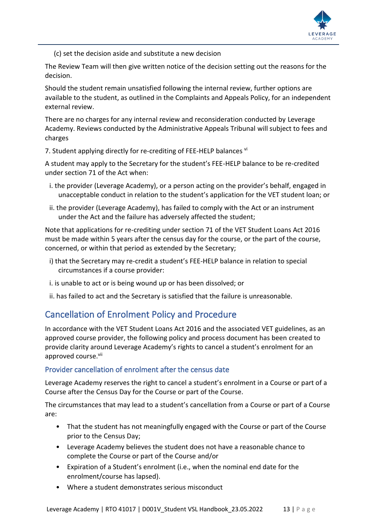

(c) set the decision aside and substitute a new decision

The Review Team will then give written notice of the decision setting out the reasons for the decision.

Should the student remain unsatisfied following the internal review, further options are available to the student, as outlined in the Complaints and Appeals Policy, for an independent external review.

There are no charges for any internal review and reconsideration conducted by Leverage Academy. Reviews conducted by the Administrative Appeals Tribunal will subject to fees and charges

7. Student applying directly for re-crediting of FEE-HELP balances vi

A student may apply to the Secretary for the student's FEE-HELP balance to be re-credited under section 71 of the Act when:

- i. the provider (Leverage Academy), or a person acting on the provider's behalf, engaged in unacceptable conduct in relation to the student's application for the VET student loan; or
- ii. the provider (Leverage Academy), has failed to comply with the Act or an instrument under the Act and the failure has adversely affected the student;

Note that applications for re-crediting under section 71 of the VET Student Loans Act 2016 must be made within 5 years after the census day for the course, or the part of the course, concerned, or within that period as extended by the Secretary;

- i) that the Secretary may re-credit a student's FEE-HELP balance in relation to special circumstances if a course provider:
- i. is unable to act or is being wound up or has been dissolved; or
- ii. has failed to act and the Secretary is satisfied that the failure is unreasonable.

## <span id="page-12-0"></span>Cancellation of Enrolment Policy and Procedure

In accordance with the VET Student Loans Act 2016 and the associated VET guidelines, as an approved course provider, the following policy and process document has been created to provide clarity around Leverage Academy's rights to cancel a student's enrolment for an approved course.vii

#### <span id="page-12-1"></span>Provider cancellation of enrolment after the census date

Leverage Academy reserves the right to cancel a student's enrolment in a Course or part of a Course after the Census Day for the Course or part of the Course.

The circumstances that may lead to a student's cancellation from a Course or part of a Course are:

- That the student has not meaningfully engaged with the Course or part of the Course prior to the Census Day;
- Leverage Academy believes the student does not have a reasonable chance to complete the Course or part of the Course and/or
- Expiration of a Student's enrolment (i.e., when the nominal end date for the enrolment/course has lapsed).
- Where a student demonstrates serious misconduct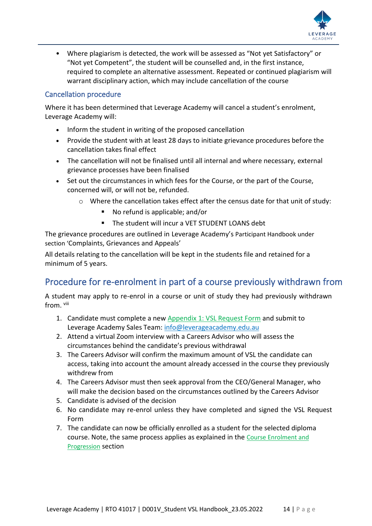

• Where plagiarism is detected, the work will be assessed as "Not yet Satisfactory" or "Not yet Competent", the student will be counselled and, in the first instance, required to complete an alternative assessment. Repeated or continued plagiarism will warrant disciplinary action, which may include cancellation of the course

#### <span id="page-13-0"></span>Cancellation procedure

Where it has been determined that Leverage Academy will cancel a student's enrolment, Leverage Academy will:

- Inform the student in writing of the proposed cancellation
- Provide the student with at least 28 days to initiate grievance procedures before the cancellation takes final effect
- The cancellation will not be finalised until all internal and where necessary, external grievance processes have been finalised
- Set out the circumstances in which fees for the Course, or the part of the Course, concerned will, or will not be, refunded.
	- o Where the cancellation takes effect after the census date for that unit of study:
		- No refund is applicable; and/or
		- The student will incur a VET STUDENT LOANS debt

The grievance procedures are outlined in Leverage Academy's Participant Handbook under section 'Complaints, Grievances and Appeals'

All details relating to the cancellation will be kept in the students file and retained for a minimum of 5 years.

## <span id="page-13-1"></span>Procedure for re-enrolment in part of a course previously withdrawn from

A student may apply to re-enrol in a course or unit of study they had previously withdrawn from. viii

- 1. Candidate must complete a new [Appendix 1: VSL Request Form](#page-28-0) and submit to Leverage Academy Sales Team: [info@leverageacademy.edu.au](mailto:info@leverageacademy.edu.au)
- 2. Attend a virtual Zoom interview with a Careers Advisor who will assess the circumstances behind the candidate's previous withdrawal
- 3. The Careers Advisor will confirm the maximum amount of VSL the candidate can access, taking into account the amount already accessed in the course they previously withdrew from
- 4. The Careers Advisor must then seek approval from the CEO/General Manager, who will make the decision based on the circumstances outlined by the Careers Advisor
- 5. Candidate is advised of the decision
- 6. No candidate may re-enrol unless they have completed and signed the VSL Request Form
- 7. The candidate can now be officially enrolled as a student for the selected diploma course. Note, the same process applies as explained in the [Course Enrolment and](#page-6-0)  [Progression](#page-6-0) section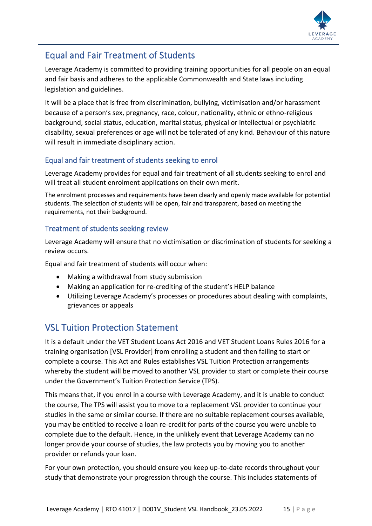

## <span id="page-14-0"></span>Equal and Fair Treatment of Students

Leverage Academy is committed to providing training opportunities for all people on an equal and fair basis and adheres to the applicable Commonwealth and State laws including legislation and guidelines.

It will be a place that is free from discrimination, bullying, victimisation and/or harassment because of a person's sex, pregnancy, race, colour, nationality, ethnic or ethno-religious background, social status, education, marital status, physical or intellectual or psychiatric disability, sexual preferences or age will not be tolerated of any kind. Behaviour of this nature will result in immediate disciplinary action.

### <span id="page-14-1"></span>Equal and fair treatment of students seeking to enrol

Leverage Academy provides for equal and fair treatment of all students seeking to enrol and will treat all student enrolment applications on their own merit.

The enrolment processes and requirements have been clearly and openly made available for potential students. The selection of students will be open, fair and transparent, based on meeting the requirements, not their background.

#### <span id="page-14-2"></span>Treatment of students seeking review

Leverage Academy will ensure that no victimisation or discrimination of students for seeking a review occurs.

Equal and fair treatment of students will occur when:

- Making a withdrawal from study submission
- Making an application for re-crediting of the student's HELP balance
- Utilizing Leverage Academy's processes or procedures about dealing with complaints, grievances or appeals

## <span id="page-14-3"></span>VSL Tuition Protection Statement

It is a default under the VET Student Loans Act 2016 and VET Student Loans Rules 2016 for a training organisation [VSL Provider] from enrolling a student and then failing to start or complete a course. This Act and Rules establishes VSL Tuition Protection arrangements whereby the student will be moved to another VSL provider to start or complete their course under the Government's Tuition Protection Service (TPS).

This means that, if you enrol in a course with Leverage Academy, and it is unable to conduct the course, The TPS will assist you to move to a replacement VSL provider to continue your studies in the same or similar course. If there are no suitable replacement courses available, you may be entitled to receive a loan re-credit for parts of the course you were unable to complete due to the default. Hence, in the unlikely event that Leverage Academy can no longer provide your course of studies, the law protects you by moving you to another provider or refunds your loan.

For your own protection, you should ensure you keep up-to-date records throughout your study that demonstrate your progression through the course. This includes statements of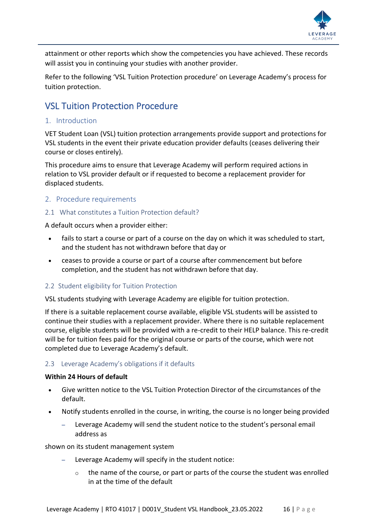

attainment or other reports which show the competencies you have achieved. These records will assist you in continuing your studies with another provider.

Refer to the following 'VSL Tuition Protection procedure' on Leverage Academy's process for tuition protection.

## <span id="page-15-0"></span>VSL Tuition Protection Procedure

#### <span id="page-15-1"></span>1. Introduction

VET Student Loan (VSL) tuition protection arrangements provide support and protections for VSL students in the event their private education provider defaults (ceases delivering their course or closes entirely).

This procedure aims to ensure that Leverage Academy will perform required actions in relation to VSL provider default or if requested to become a replacement provider for displaced students.

#### <span id="page-15-2"></span>2. Procedure requirements

#### <span id="page-15-3"></span>2.1 What constitutes a Tuition Protection default?

A default occurs when a provider either:

- fails to start a course or part of a course on the day on which it was scheduled to start, and the student has not withdrawn before that day or
- ceases to provide a course or part of a course after commencement but before completion, and the student has not withdrawn before that day.

#### <span id="page-15-4"></span>2.2 Student eligibility for Tuition Protection

VSL students studying with Leverage Academy are eligible for tuition protection.

If there is a suitable replacement course available, eligible VSL students will be assisted to continue their studies with a replacement provider. Where there is no suitable replacement course, eligible students will be provided with a re-credit to their HELP balance. This re-credit will be for tuition fees paid for the original course or parts of the course, which were not completed due to Leverage Academy's default.

#### <span id="page-15-5"></span>2.3 Leverage Academy's obligations if it defaults

#### **Within 24 Hours of default**

- Give written notice to the VSL Tuition Protection Director of the circumstances of the default.
- Notify students enrolled in the course, in writing, the course is no longer being provided
	- Leverage Academy will send the student notice to the student's personal email address as

#### shown on its student management system

- Leverage Academy will specify in the student notice:
	- $\circ$  the name of the course, or part or parts of the course the student was enrolled in at the time of the default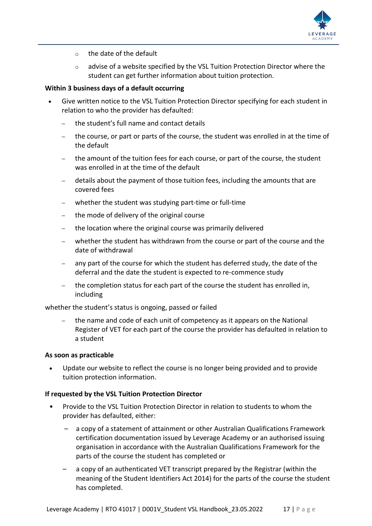

- o the date of the default
- $\circ$  advise of a website specified by the VSL Tuition Protection Director where the student can get further information about tuition protection.

#### **Within 3 business days of a default occurring**

- Give written notice to the VSL Tuition Protection Director specifying for each student in relation to who the provider has defaulted:
	- the student's full name and contact details
	- the course, or part or parts of the course, the student was enrolled in at the time of the default
	- the amount of the tuition fees for each course, or part of the course, the student was enrolled in at the time of the default
	- details about the payment of those tuition fees, including the amounts that are covered fees
	- whether the student was studying part-time or full-time
	- the mode of delivery of the original course
	- the location where the original course was primarily delivered
	- whether the student has withdrawn from the course or part of the course and the date of withdrawal
	- any part of the course for which the student has deferred study, the date of the deferral and the date the student is expected to re-commence study
	- the completion status for each part of the course the student has enrolled in, including

whether the student's status is ongoing, passed or failed

– the name and code of each unit of competency as it appears on the National Register of VET for each part of the course the provider has defaulted in relation to a student

#### **As soon as practicable**

• Update our website to reflect the course is no longer being provided and to provide tuition protection information.

#### **If requested by the VSL Tuition Protection Director**

- Provide to the VSL Tuition Protection Director in relation to students to whom the provider has defaulted, either:
	- a copy of a statement of attainment or other Australian Qualifications Framework certification documentation issued by Leverage Academy or an authorised issuing organisation in accordance with the Australian Qualifications Framework for the parts of the course the student has completed or
	- a copy of an authenticated VET transcript prepared by the Registrar (within the meaning of the Student Identifiers Act 2014) for the parts of the course the student has completed.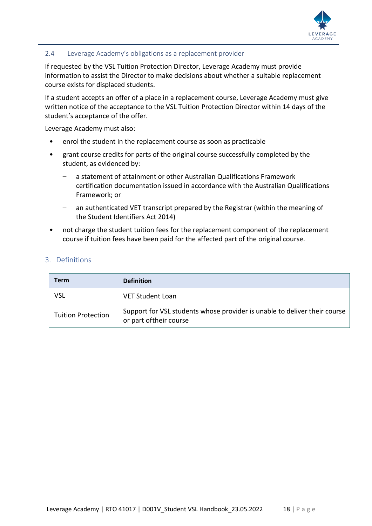

#### <span id="page-17-0"></span>2.4 Leverage Academy's obligations as a replacement provider

If requested by the VSL Tuition Protection Director, Leverage Academy must provide information to assist the Director to make decisions about whether a suitable replacement course exists for displaced students.

If a student accepts an offer of a place in a replacement course, Leverage Academy must give written notice of the acceptance to the VSL Tuition Protection Director within 14 days of the student's acceptance of the offer.

Leverage Academy must also:

- enrol the student in the replacement course as soon as practicable
- grant course credits for parts of the original course successfully completed by the student, as evidenced by:
	- a statement of attainment or other Australian Qualifications Framework certification documentation issued in accordance with the Australian Qualifications Framework; or
	- an authenticated VET transcript prepared by the Registrar (within the meaning of the Student Identifiers Act 2014)
- not charge the student tuition fees for the replacement component of the replacement course if tuition fees have been paid for the affected part of the original course.

#### <span id="page-17-1"></span>3. Definitions

| Term                      | <b>Definition</b>                                                                                    |
|---------------------------|------------------------------------------------------------------------------------------------------|
| VSL                       | VET Student Loan                                                                                     |
| <b>Tuition Protection</b> | Support for VSL students whose provider is unable to deliver their course<br>or part of their course |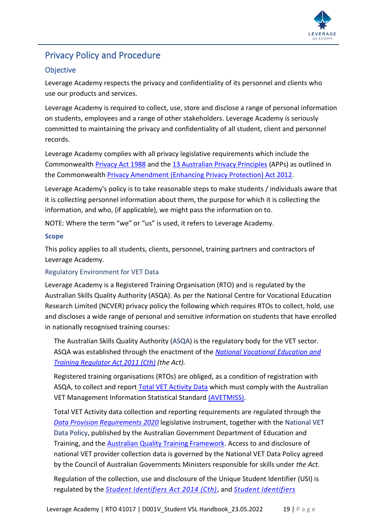

## <span id="page-18-0"></span>Privacy Policy and Procedure

### <span id="page-18-1"></span>**Objective**

Leverage Academy respects the privacy and confidentiality of its personnel and clients who use our products and services.

Leverage Academy is required to collect, use, store and disclose a range of personal information on students, employees and a range of other stakeholders. Leverage Academy is seriously committed to maintaining the privacy and confidentiality of all student, client and personnel records.

Leverage Academy complies with all privacy legislative requirements which include the Commonwealth [Privacy Act 1988](https://www.legislation.gov.au/Series/C2004A03712) and the [13 Australian Privacy Principles](http://www.oaic.gov.au/individuals/privacy-fact-sheets/general/privacy-fact-sheet-17-australian-privacy-principles) (APPs) as outlined in the Commonwealth [Privacy Amendment \(Enhancing Privacy Protection\) Act 2012.](https://www.legislation.gov.au/Details/C2015C00053)

Leverage Academy's policy is to take reasonable steps to make students / individuals aware that it is collecting personnel information about them, the purpose for which it is collecting the information, and who, (if applicable), we might pass the information on to.

NOTE: Where the term "we" or "us" is used, it refers to Leverage Academy.

#### <span id="page-18-2"></span>**Scope**

This policy applies to all students, clients, personnel, training partners and contractors of Leverage Academy.

#### <span id="page-18-3"></span>Regulatory Environment for VET Data

Leverage Academy is a Registered Training Organisation (RTO) and is regulated by the Australian Skills Quality Authority (ASQA). As per the National Centre for Vocational Education Research Limited (NCVER) privacy policy the following which requires RTOs to collect, hold, use and discloses a wide range of personal and sensitive information on students that have enrolled in nationally recognised training courses:

The Australian Skills Quality Authority [\(ASQA\)](https://www.asqa.gov.au/vet-registration) is the regulatory body for the VET sector. ASQA was established through the enactment of the *[National Vocational Education and](https://www.legislation.gov.au/Details/C2021C00130)  [Training Regulator Act 2011 \(Cth\)](https://www.legislation.gov.au/Details/C2021C00130) (the Act).*

Registered training organisations (RTOs) are obliged, as a condition of registration with ASQA, to collect and report **Total VET Activity Data** which must comply with the Australian VET Management Information Statistical Standard [\(AVETMISS\).](https://www.ncver.edu.au/rto-hub/avetmiss-support-for-rtos)

Total VET Activity data collection and reporting requirements are regulated through the *[Data Provision Requirements 2020](https://www.legislation.gov.au/Details/F2020L01517)* legislative instrument, together with the [National VET](https://www.education.gov.au/national-vet-data-policy-0)  [Data Policy,](https://www.education.gov.au/national-vet-data-policy-0) published by the Australian Government Department of Education and Training, and the [Australian Quality Training Framework.](http://www.ivet.com.au/a/184.html) Access to and disclosure of national VET provider collection data is governed by the National VET Data Policy agreed by the Council of Australian Governments Ministers responsible for skills under *the Act.*

Regulation of the collection, use and disclosure of the Unique Student Identifier (USI) is regulated by the *[Student Identifiers Act 2014 \(Cth\)](https://www.legislation.gov.au/Details/C2021C00100)*, and *[Student Identifiers](https://www.legislation.gov.au/Details/F2021C00286)*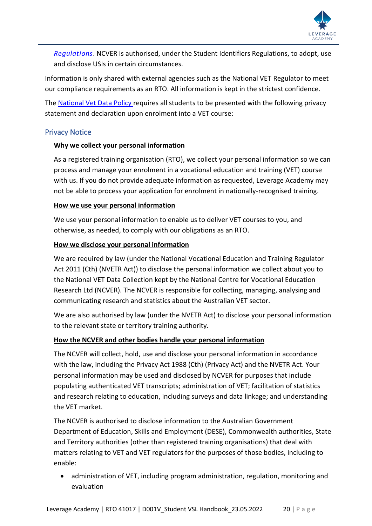

*[Regulations](https://www.legislation.gov.au/Details/F2021C00286)*. NCVER is authorised, under the Student Identifiers Regulations, to adopt, use and disclose USIs in certain circumstances.

Information is only shared with external agencies such as the National VET Regulator to meet our compliance requirements as an RTO. All information is kept in the strictest confidence.

The [National Vet Data Policy r](https://www.education.gov.au/national-vet-data-policy-0)equires all students to be presented with the following privacy statement and declaration upon enrolment into a VET course:

#### <span id="page-19-0"></span>Privacy Notice

#### **Why we collect your personal information**

As a registered training organisation (RTO), we collect your personal information so we can process and manage your enrolment in a vocational education and training (VET) course with us. If you do not provide adequate information as requested, Leverage Academy may not be able to process your application for enrolment in nationally-recognised training.

#### **How we use your personal information**

We use your personal information to enable us to deliver VET courses to you, and otherwise, as needed, to comply with our obligations as an RTO.

#### **How we disclose your personal information**

We are required by law (under the National Vocational Education and Training Regulator Act 2011 (Cth) (NVETR Act)) to disclose the personal information we collect about you to the National VET Data Collection kept by the National Centre for Vocational Education Research Ltd (NCVER). The NCVER is responsible for collecting, managing, analysing and communicating research and statistics about the Australian VET sector.

We are also authorised by law (under the NVETR Act) to disclose your personal information to the relevant state or territory training authority.

#### **How the NCVER and other bodies handle your personal information**

The NCVER will collect, hold, use and disclose your personal information in accordance with the law, including the Privacy Act 1988 (Cth) (Privacy Act) and the NVETR Act. Your personal information may be used and disclosed by NCVER for purposes that include populating authenticated VET transcripts; administration of VET; facilitation of statistics and research relating to education, including surveys and data linkage; and understanding the VET market.

The NCVER is authorised to disclose information to the Australian Government Department of Education, Skills and Employment (DESE), Commonwealth authorities, State and Territory authorities (other than registered training organisations) that deal with matters relating to VET and VET regulators for the purposes of those bodies, including to enable:

• administration of VET, including program administration, regulation, monitoring and evaluation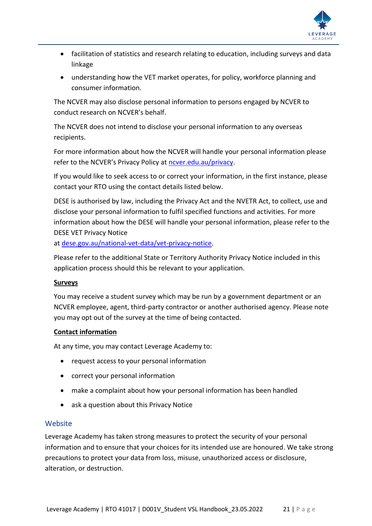

- facilitation of statistics and research relating to education, including surveys and data linkage
- understanding how the VET market operates, for policy, workforce planning and consumer information.

The NCVER may also disclose personal information to persons engaged by NCVER to conduct research on NCVER's behalf.

The NCVER does not intend to disclose your personal information to any overseas recipients.

For more information about how the NCVER will handle your personal information please refer to the NCVER's Privacy Policy at [ncver.edu.au/privacy.](http://www.ncver.edu.au/privacy)

If you would like to seek access to or correct your information, in the first instance, please contact your RTO using the contact details listed below.

DESE is authorised by law, including the Privacy Act and the NVETR Act, to collect, use and disclose your personal information to fulfil specified functions and activities. For more information about how the DESE will handle your personal information, please refer to the DESE VET Privacy Notice

at [dese.gov.au/national-vet-data/vet-privacy-notice.](https://www.dese.gov.au/national-vet-data/vet-privacy-notice)

Please refer to the additional State or Territory Authority Privacy Notice included in this application process should this be relevant to your application.

#### **Surveys**

You may receive a student survey which may be run by a government department or an NCVER employee, agent, third-party contractor or another authorised agency. Please note you may opt out of the survey at the time of being contacted.

#### **Contact information**

At any time, you may contact Leverage Academy to:

- request access to your personal information
- correct your personal information
- make a complaint about how your personal information has been handled
- ask a question about this Privacy Notice

#### <span id="page-20-0"></span>**Website**

Leverage Academy has taken strong measures to protect the security of your personal information and to ensure that your choices for its intended use are honoured. We take strong precautions to protect your data from loss, misuse, unauthorized access or disclosure, alteration, or destruction.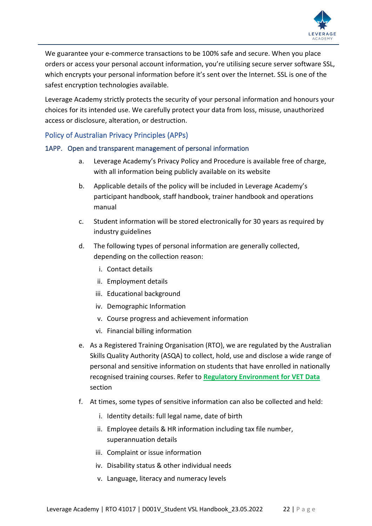

We guarantee your e-commerce transactions to be 100% safe and secure. When you place orders or access your personal account information, you're utilising secure server software SSL, which encrypts your personal information before it's sent over the Internet. SSL is one of the safest encryption technologies available.

Leverage Academy strictly protects the security of your personal information and honours your choices for its intended use. We carefully protect your data from loss, misuse, unauthorized access or disclosure, alteration, or destruction.

#### <span id="page-21-0"></span>Policy of Australian Privacy Principles (APPs)

#### <span id="page-21-1"></span>1APP. Open and transparent management of personal information

- a. Leverage Academy's Privacy Policy and Procedure is available free of charge, with all information being publicly available on its website
- b. Applicable details of the policy will be included in Leverage Academy's participant handbook, staff handbook, trainer handbook and operations manual
- c. Student information will be stored electronically for 30 years as required by industry guidelines
- d. The following types of personal information are generally collected, depending on the collection reason:
	- i. Contact details
	- ii. Employment details
	- iii. Educational background
	- iv. Demographic Information
	- v. Course progress and achievement information
	- vi. Financial billing information
- e. As a Registered Training Organisation (RTO), we are regulated by the Australian Skills Quality Authority (ASQA) to collect, hold, use and disclose a wide range of personal and sensitive information on students that have enrolled in nationally recognised training courses. Refer to **[Regulatory Environment for VET Data](#page-18-3)** section
- f. At times, some types of sensitive information can also be collected and held:
	- i. Identity details: full legal name, date of birth
	- ii. Employee details & HR information including tax file number, superannuation details
	- iii. Complaint or issue information
	- iv. Disability status & other individual needs
	- v. Language, literacy and numeracy levels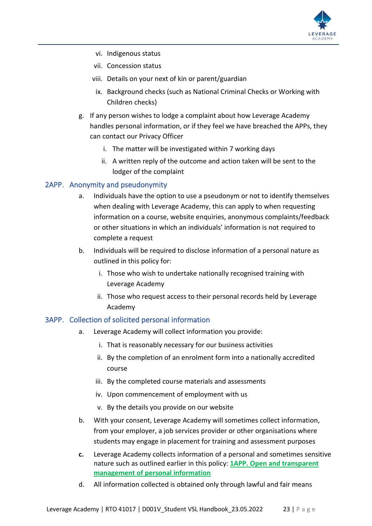

- vi. Indigenous status
- vii. Concession status
- viii. Details on your next of kin or parent/guardian
	- ix. Background checks (such as National Criminal Checks or Working with Children checks)
- g. If any person wishes to lodge a complaint about how Leverage Academy handles personal information, or if they feel we have breached the APPs, they can contact our Privacy Officer
	- i. The matter will be investigated within 7 working days
	- ii. A written reply of the outcome and action taken will be sent to the lodger of the complaint

#### <span id="page-22-0"></span>2APP. Anonymity and pseudonymity

- a. Individuals have the option to use a pseudonym or not to identify themselves when dealing with Leverage Academy, this can apply to when requesting information on a course, website enquiries, anonymous complaints/feedback or other situations in which an individuals' information is not required to complete a request
- b. Individuals will be required to disclose information of a personal nature as outlined in this policy for:
	- i. Those who wish to undertake nationally recognised training with Leverage Academy
	- ii. Those who request access to their personal records held by Leverage Academy

#### <span id="page-22-1"></span>3APP. Collection of solicited personal information

- a. Leverage Academy will collect information you provide:
	- i. That is reasonably necessary for our business activities
	- ii. By the completion of an enrolment form into a nationally accredited course
	- iii. By the completed course materials and assessments
	- iv. Upon commencement of employment with us
	- v. By the details you provide on our website
- b. With your consent, Leverage Academy will sometimes collect information, from your employer, a job services provider or other organisations where students may engage in placement for training and assessment purposes
- **c.** Leverage Academy collects information of a personal and sometimes sensitive nature such as outlined earlier in this policy: **[1APP. Open and transparent](#page-21-1)  [management of personal information](#page-21-1)**
- d. All information collected is obtained only through lawful and fair means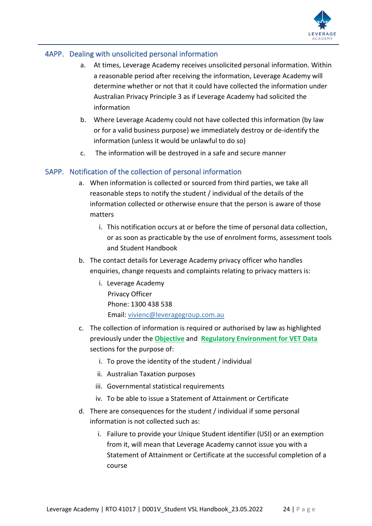

#### <span id="page-23-0"></span>4APP. Dealing with unsolicited personal information

- a. At times, Leverage Academy receives unsolicited personal information. Within a reasonable period after receiving the information, Leverage Academy will determine whether or not that it could have collected the information under Australian Privacy Principle 3 as if Leverage Academy had solicited the information
- b. Where Leverage Academy could not have collected this information (by law or for a valid business purpose) we immediately destroy or de-identify the information (unless it would be unlawful to do so)
- c. The information will be destroyed in a safe and secure manner

#### <span id="page-23-1"></span>5APP. Notification of the collection of personal information

- a. When information is collected or sourced from third parties, we take all reasonable steps to notify the student / individual of the details of the information collected or otherwise ensure that the person is aware of those matters
	- i. This notification occurs at or before the time of personal data collection, or as soon as practicable by the use of enrolment forms, assessment tools and Student Handbook
- b. The contact details for Leverage Academy privacy officer who handles enquiries, change requests and complaints relating to privacy matters is:
	- i. Leverage Academy Privacy Officer Phone: 1300 438 538 Email: [vivienc@leveragegroup.com.au](mailto:vivienc@leveragegroup.com.au)
- c. The collection of information is required or authorised by law as highlighted previously under the **[Objective](#page-18-1)** and **[Regulatory Environment for VET Data](#page-18-3)** sections for the purpose of:
	- i. To prove the identity of the student / individual
	- ii. Australian Taxation purposes
	- iii. Governmental statistical requirements
	- iv. To be able to issue a Statement of Attainment or Certificate
- d. There are consequences for the student / individual if some personal information is not collected such as:
	- i. Failure to provide your Unique Student identifier (USI) or an exemption from it, will mean that Leverage Academy cannot issue you with a Statement of Attainment or Certificate at the successful completion of a course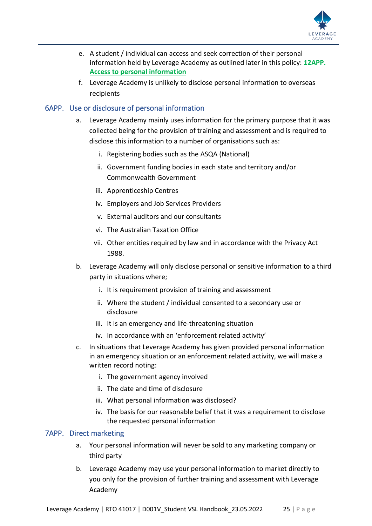

- e. A student / individual can access and seek correction of their personal information held by Leverage Academy as outlined later in this policy: **[12APP.](#page-26-2)  [Access to personal information](#page-26-2)**
- f. Leverage Academy is unlikely to disclose personal information to overseas recipients

#### <span id="page-24-0"></span>6APP. Use or disclosure of personal information

- a. Leverage Academy mainly uses information for the primary purpose that it was collected being for the provision of training and assessment and is required to disclose this information to a number of organisations such as:
	- i. Registering bodies such as the ASQA (National)
	- ii. Government funding bodies in each state and territory and/or Commonwealth Government
	- iii. Apprenticeship Centres
	- iv. Employers and Job Services Providers
	- v. External auditors and our consultants
	- vi. The Australian Taxation Office
	- vii. Other entities required by law and in accordance with the Privacy Act 1988.
- b. Leverage Academy will only disclose personal or sensitive information to a third party in situations where;
	- i. It is requirement provision of training and assessment
	- ii. Where the student / individual consented to a secondary use or disclosure
	- iii. It is an emergency and life-threatening situation
	- iv. In accordance with an 'enforcement related activity'
- c. In situations that Leverage Academy has given provided personal information in an emergency situation or an enforcement related activity, we will make a written record noting:
	- i. The government agency involved
	- ii. The date and time of disclosure
	- iii. What personal information was disclosed?
	- iv. The basis for our reasonable belief that it was a requirement to disclose the requested personal information

#### <span id="page-24-1"></span>7APP. Direct marketing

- a. Your personal information will never be sold to any marketing company or third party
- b. Leverage Academy may use your personal information to market directly to you only for the provision of further training and assessment with Leverage Academy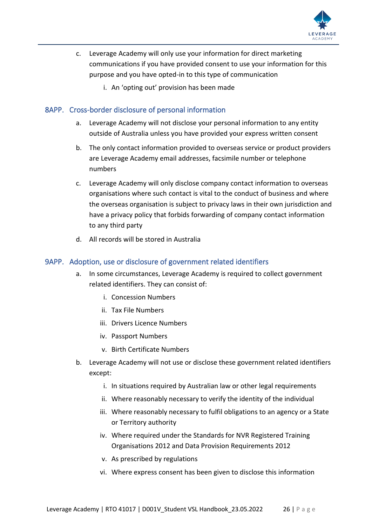

- c. Leverage Academy will only use your information for direct marketing communications if you have provided consent to use your information for this purpose and you have opted-in to this type of communication
	- i. An 'opting out' provision has been made

#### <span id="page-25-0"></span>8APP. Cross-border disclosure of personal information

- a. Leverage Academy will not disclose your personal information to any entity outside of Australia unless you have provided your express written consent
- b. The only contact information provided to overseas service or product providers are Leverage Academy email addresses, facsimile number or telephone numbers
- c. Leverage Academy will only disclose company contact information to overseas organisations where such contact is vital to the conduct of business and where the overseas organisation is subject to privacy laws in their own jurisdiction and have a privacy policy that forbids forwarding of company contact information to any third party
- d. All records will be stored in Australia

#### <span id="page-25-1"></span>9APP. Adoption, use or disclosure of government related identifiers

- a. In some circumstances, Leverage Academy is required to collect government related identifiers. They can consist of:
	- i. Concession Numbers
	- ii. Tax File Numbers
	- iii. Drivers Licence Numbers
	- iv. Passport Numbers
	- v. Birth Certificate Numbers
- b. Leverage Academy will not use or disclose these government related identifiers except:
	- i. In situations required by Australian law or other legal requirements
	- ii. Where reasonably necessary to verify the identity of the individual
	- iii. Where reasonably necessary to fulfil obligations to an agency or a State or Territory authority
	- iv. Where required under the Standards for NVR Registered Training Organisations 2012 and Data Provision Requirements 2012
	- v. As prescribed by regulations
	- vi. Where express consent has been given to disclose this information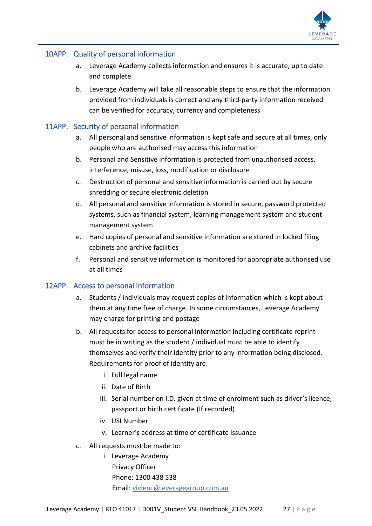

#### <span id="page-26-0"></span>10APP. Quality of personal information

- a. Leverage Academy collects information and ensures it is accurate, up to date and complete
- b. Leverage Academy will take all reasonable steps to ensure that the information provided from individuals is correct and any third-party information received can be verified for accuracy, currency and completeness

#### <span id="page-26-1"></span>11APP. Security of personal information

- a. All personal and sensitive information is kept safe and secure at all times, only people who are authorised may access this information
- b. Personal and Sensitive information is protected from unauthorised access, interference, misuse, loss, modification or disclosure
- c. Destruction of personal and sensitive information is carried out by secure shredding or secure electronic deletion
- d. All personal and sensitive information is stored in secure, password protected systems, such as financial system, learning management system and student management system
- e. Hard copies of personal and sensitive information are stored in locked filing cabinets and archive facilities
- f. Personal and sensitive information is monitored for appropriate authorised use at all times

#### <span id="page-26-2"></span>12APP. Access to personal information

- a. Students / individuals may request copies of information which is kept about them at any time free of charge. In some circumstances, Leverage Academy may charge for printing and postage
- b. All requests for access to personal information including certificate reprint must be in writing as the student / individual must be able to identify themselves and verify their identity prior to any information being disclosed. Requirements for proof of identity are:
	- i. Full legal name
	- ii. Date of Birth
	- iii. Serial number on I.D. given at time of enrolment such as driver's licence, passport or birth certificate (If recorded)
	- iv. USI Number
	- v. Learner's address at time of certificate issuance
- c. All requests must be made to:
	- i. Leverage Academy Privacy Officer Phone: 1300 438 538 Email: [vivienc@leveragegroup.com.au](mailto:vivienc@leveragegroup.com.au)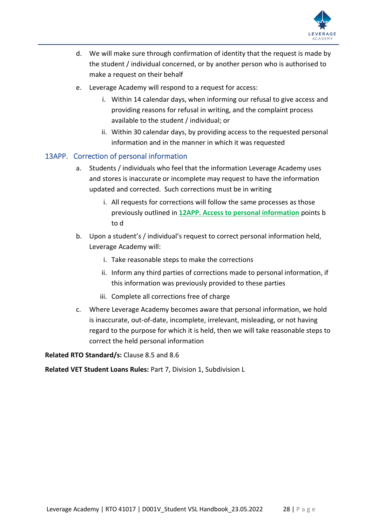

- d. We will make sure through confirmation of identity that the request is made by the student / individual concerned, or by another person who is authorised to make a request on their behalf
- e. Leverage Academy will respond to a request for access:
	- i. Within 14 calendar days, when informing our refusal to give access and providing reasons for refusal in writing, and the complaint process available to the student / individual; or
	- ii. Within 30 calendar days, by providing access to the requested personal information and in the manner in which it was requested

#### <span id="page-27-0"></span>13APP. Correction of personal information

- a. Students / individuals who feel that the information Leverage Academy uses and stores is inaccurate or incomplete may request to have the information updated and corrected. Such corrections must be in writing
	- i. All requests for corrections will follow the same processes as those previously outlined in **[12APP. Access to personal information](#page-26-2)** points b to d
- b. Upon a student's / individual's request to correct personal information held, Leverage Academy will:
	- i. Take reasonable steps to make the corrections
	- ii. Inform any third parties of corrections made to personal information, if this information was previously provided to these parties
	- iii. Complete all corrections free of charge
- c. Where Leverage Academy becomes aware that personal information, we hold is inaccurate, out-of-date, incomplete, irrelevant, misleading, or not having regard to the purpose for which it is held, then we will take reasonable steps to correct the held personal information

**Related RTO Standard/s:** Clause 8.5 and 8.6

**Related VET Student Loans Rules:** Part 7, Division 1, Subdivision L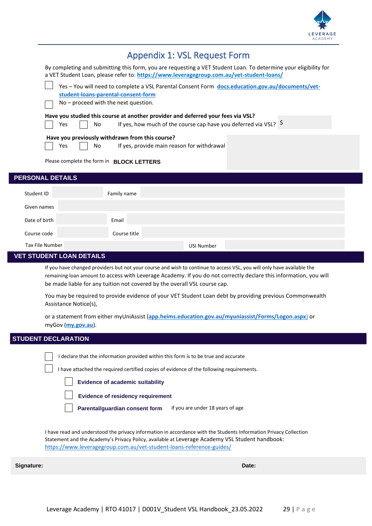

<span id="page-28-0"></span>

| <b>Appendix 1: VSL Request Form</b>                                                                                                                                                                          |  |  |  |  |  |  |  |
|--------------------------------------------------------------------------------------------------------------------------------------------------------------------------------------------------------------|--|--|--|--|--|--|--|
| By completing and submitting this form, you are requesting a VET Student Loan. To determine your eligibility for<br>a VET Student Loan, please refer to: https://www.leveragegroup.com.au/vet-student-loans/ |  |  |  |  |  |  |  |
| Yes - You will need to complete a VSL Parental Consent Form docs.education.gov.au/documents/vet-                                                                                                             |  |  |  |  |  |  |  |
| student-loans-parental-consent-form                                                                                                                                                                          |  |  |  |  |  |  |  |
| No - proceed with the next question.                                                                                                                                                                         |  |  |  |  |  |  |  |
| Have you studied this course at another provider and deferred your fees via VSL?<br>If yes, how much of the course cap have you deferred via VSL? $\frac{5}{2}$<br>Yes<br>No                                 |  |  |  |  |  |  |  |
| Have you previously withdrawn from this course?<br>If yes, provide main reason for withdrawal<br>Yes<br>No                                                                                                   |  |  |  |  |  |  |  |
| Please complete the form in BLOCK LETTERS                                                                                                                                                                    |  |  |  |  |  |  |  |
| <b>PERSONAL DETAILS</b>                                                                                                                                                                                      |  |  |  |  |  |  |  |
| Student ID<br>Family name                                                                                                                                                                                    |  |  |  |  |  |  |  |
| Given names                                                                                                                                                                                                  |  |  |  |  |  |  |  |
| Date of birth<br>Email                                                                                                                                                                                       |  |  |  |  |  |  |  |
| Course code<br>Course title                                                                                                                                                                                  |  |  |  |  |  |  |  |
| <b>Tax File Number</b><br><b>USI Number</b>                                                                                                                                                                  |  |  |  |  |  |  |  |
| <b>VET STUDENT LOAN DETAILS</b>                                                                                                                                                                              |  |  |  |  |  |  |  |

If you have changed providers but not your course and wish to continue to access VSL, you will only have available the remaining loan amount to access with Leverage Academy. If you do not correctly declare this information, you will be made liable for any tuition not covered by the overall VSL course cap.

You may be required to provide evidence of your VET Student Loan debt by providing previous Commonwealth Assistance Notice(s),

or a statement from either myUniAssist (**[app.heims.education.gov.au/myuniassist/Forms/Logon.aspx](http://app.heims.education.gov.au/myuniassist/Forms/Logon.aspx)**[\)](http://app.heims.education.gov.au/myuniassist/Forms/Logon.aspx) or myGov (**[my.gov.au](http://my.gov.au/)**).

## **STUDENT DECLARATION**

I declare that the information provided within this form is to be true and accurate

I have attached the required certified copies of evidence of the following requirements.

**[Evidence of academic suitability](https://www.vu.edu.au/current-students/your-course/fees/vet-tafe-fees/vet-student-loans)**

**[Evidence of residency requirement](https://www.vu.edu.au/current-students/your-course/fees/vet-tafe-fees/vet-student-loans)**

**[Parental/guardian consent form](https://docs.employment.gov.au/documents/vet-student-loans-parental-consent-form)** [if you are under 18 years of age](https://docs.employment.gov.au/documents/vet-student-loans-parental-consent-form)

I have read and understood the privacy information in accordance with the Students Information Privacy Collection Statement and the Academy's Privacy Policy, available at Leverage Academy VSL Student handbook: <https://www.leveragegroup.com.au/vet-student-loans-reference-guides/>

**Signature: Date:**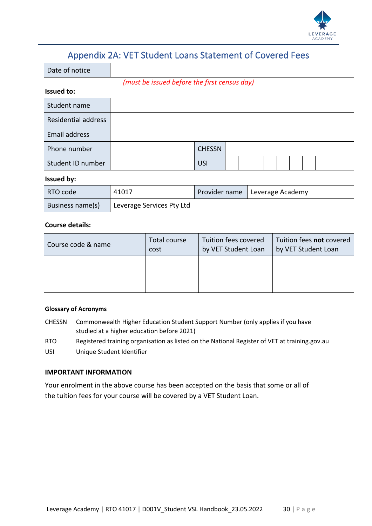

## Appendix 2A: VET Student Loans Statement of Covered Fees

<span id="page-29-0"></span>Date of notice

*(must be issued before the first census day)*

#### **Issued to:**

| Student name        |               |  |  |  |  |  |
|---------------------|---------------|--|--|--|--|--|
| Residential address |               |  |  |  |  |  |
| Email address       |               |  |  |  |  |  |
| Phone number        | <b>CHESSN</b> |  |  |  |  |  |
| Student ID number   | <b>USI</b>    |  |  |  |  |  |

#### **Issued by:**

| RTO code         | 41017                     | Provider name   Leverage Academy |
|------------------|---------------------------|----------------------------------|
| Business name(s) | Leverage Services Pty Ltd |                                  |

#### **Course details:**

| Course code & name | Total course | Tuition fees covered | Tuition fees not covered |
|--------------------|--------------|----------------------|--------------------------|
|                    | cost         | by VET Student Loan  | by VET Student Loan      |
|                    |              |                      |                          |

#### **Glossary of Acronyms**

- CHESSN Commonwealth Higher Education Student Support Number (only applies if you have studied at a higher education before 2021)
- RTO Registered training organisation as listed on the National Register of VET at training.gov.au USI Unique Student Identifier

#### **IMPORTANT INFORMATION**

Your enrolment in the above course has been accepted on the basis that some or all of the tuition fees for your course will be covered by a VET Student Loan.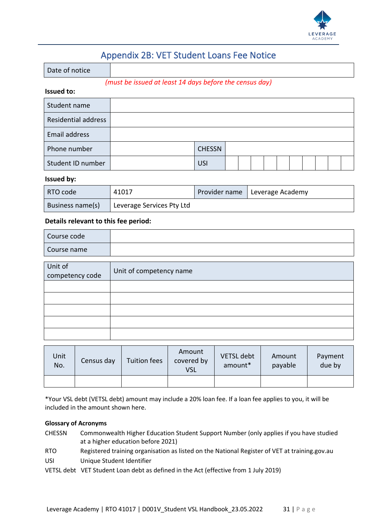

## Appendix 2B: VET Student Loans Fee Notice

<span id="page-30-0"></span>

*(must be issued at least 14 days before the census day)*

#### **Issued to:**

| Student name        |               |  |  |  |  |  |
|---------------------|---------------|--|--|--|--|--|
| Residential address |               |  |  |  |  |  |
| Email address       |               |  |  |  |  |  |
| Phone number        | <b>CHESSN</b> |  |  |  |  |  |
| Student ID number   | <b>USI</b>    |  |  |  |  |  |

#### **Issued by:**

| RTO code         | 41017                     | Provider name   Leverage Academy |
|------------------|---------------------------|----------------------------------|
| Business name(s) | Leverage Services Pty Ltd |                                  |

#### **Details relevant to this fee period:**

| Course code |  |
|-------------|--|
| Course name |  |

| Unit of<br>competency code | Unit of competency name |
|----------------------------|-------------------------|
|                            |                         |
|                            |                         |
|                            |                         |
|                            |                         |
|                            |                         |

| Unit<br>No. | Census day | Tuition fees | Amount<br>covered by<br><b>VSL</b> | <b>VETSL</b> debt<br>amount* | Amount<br>payable | Payment<br>due by |
|-------------|------------|--------------|------------------------------------|------------------------------|-------------------|-------------------|
|             |            |              |                                    |                              |                   |                   |

\*Your VSL debt (VETSL debt) amount may include a 20% loan fee. If a loan fee applies to you, it will be included in the amount shown here.

#### **Glossary of Acronyms**

- CHESSN Commonwealth Higher Education Student Support Number (only applies if you have studied at a higher education before 2021)
- RTO Registered training organisation as listed on the National Register of VET at training.gov.au USI Unique Student Identifier
- VETSL debt VET Student Loan debt as defined in the Act (effective from 1 July 2019)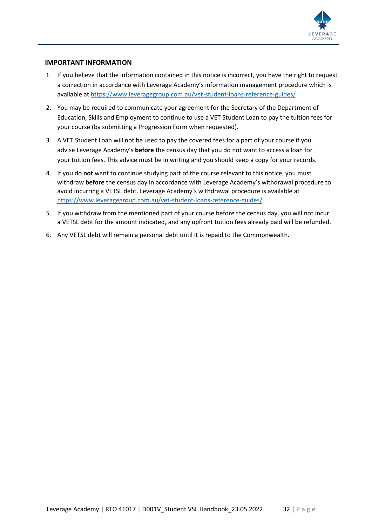

#### **IMPORTANT INFORMATION**

- 1. If you believe that the information contained in this notice is incorrect, you have the right to request a correction in accordance with Leverage Academy's information management procedure which is available at<https://www.leveragegroup.com.au/vet-student-loans-reference-guides/>
- 2. You may be required to communicate your agreement for the Secretary of the Department of Education, Skills and Employment to continue to use a VET Student Loan to pay the tuition fees for your course (by submitting a Progression Form when requested).
- 3. A VET Student Loan will not be used to pay the covered fees for a part of your course if you advise Leverage Academy's **before** the census day that you do not want to access a loan for your tuition fees. This advice must be in writing and you should keep a copy for your records.
- 4. If you do **not** want to continue studying part of the course relevant to this notice, you must withdraw **before** the census day in accordance with Leverage Academy's withdrawal procedure to avoid incurring a VETSL debt. Leverage Academy's withdrawal procedure is available at <https://www.leveragegroup.com.au/vet-student-loans-reference-guides/>
- 5. If you withdraw from the mentioned part of your course before the census day, you will not incur a VETSL debt for the amount indicated, and any upfront tuition fees already paid will be refunded.
- 6. Any VETSL debt will remain a personal debt until it is repaid to the Commonwealth.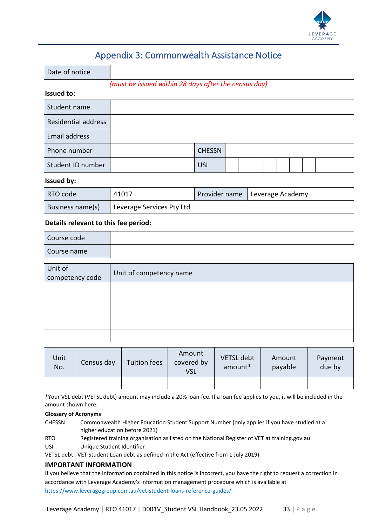

## Appendix 3: Commonwealth Assistance Notice

<span id="page-32-0"></span>

| Date of notice    |                                                      |
|-------------------|------------------------------------------------------|
|                   | (must be issued within 28 days after the census day) |
| <b>Issued to:</b> |                                                      |

| Student name               |               |  |  |  |  |  |
|----------------------------|---------------|--|--|--|--|--|
| <b>Residential address</b> |               |  |  |  |  |  |
| Email address              |               |  |  |  |  |  |
| Phone number               | <b>CHESSN</b> |  |  |  |  |  |
| Student ID number          | <b>USI</b>    |  |  |  |  |  |

#### **Issued by:**

| RTO code         | 41017                                  | Provider name   Leverage Academy |
|------------------|----------------------------------------|----------------------------------|
| Business name(s) | <sup>1</sup> Leverage Services Pty Ltd |                                  |

#### **Details relevant to this fee period:**

| Course code     |                         |
|-----------------|-------------------------|
| Course name     |                         |
|                 |                         |
| Unit of         | Unit of competency name |
| competency code |                         |
|                 |                         |
|                 |                         |
|                 |                         |
|                 |                         |
|                 |                         |

| Unit<br>No. | Census day | <b>Tuition fees</b> | Amount<br>covered by<br><b>VSL</b> | <b>VETSL debt</b><br>amount* | Amount<br>payable | Payment<br>due by |
|-------------|------------|---------------------|------------------------------------|------------------------------|-------------------|-------------------|
|             |            |                     |                                    |                              |                   |                   |

\*Your VSL debt (VETSL debt) amount may include a 20% loan fee. If a loan fee applies to you, it will be included in the amount shown here.

#### **Glossary of Acronyms**

CHESSN Commonwealth Higher Education Student Support Number (only applies if you have studied at a higher education before 2021)

RTO Registered training organisation as listed on the National Register of VET at training.gov.au

USI Unique Student Identifier

VETSL debt VET Student Loan debt as defined in the Act (effective from 1 July 2019)

#### **IMPORTANT INFORMATION**

If you believe that the information contained in this notice is incorrect, you have the right to request a correction in accordance with Leverage Academy's information management procedure which is available at <https://www.leveragegroup.com.au/vet-student-loans-reference-guides/>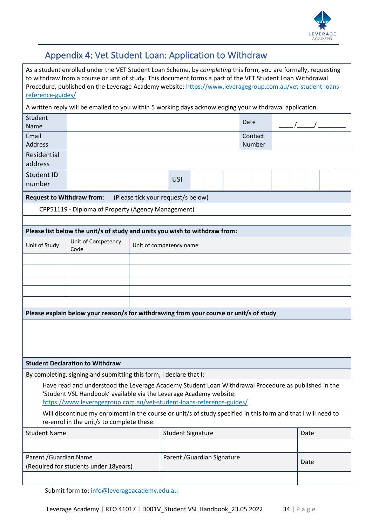

## <span id="page-33-0"></span>Appendix 4: Vet Student Loan: Application to Withdraw

As a student enrolled under the VET Student Loan Scheme, by *completing* this form, you are formally, requesting to withdraw from a course or unit of study. This document forms a part of the VET Student Loan Withdrawal Procedure, published on the Leverage Academy website: [https://www.leveragegroup.com.au/vet-student-loans](https://www.leveragegroup.com.au/vet-student-loans-reference-guides/)[reference-guides/](https://www.leveragegroup.com.au/vet-student-loans-reference-guides/)

A written reply will be emailed to you within 5 working days acknowledging your withdrawal application.

| Student<br>Name                                                 |                                                                                                                                                                                                                                                   |                                                                                        |                             |                                    |  | Date |      |  |  |  |  |
|-----------------------------------------------------------------|---------------------------------------------------------------------------------------------------------------------------------------------------------------------------------------------------------------------------------------------------|----------------------------------------------------------------------------------------|-----------------------------|------------------------------------|--|------|------|--|--|--|--|
| Email<br><b>Address</b>                                         |                                                                                                                                                                                                                                                   |                                                                                        |                             | Contact<br>Number                  |  |      |      |  |  |  |  |
| Residential<br>address                                          |                                                                                                                                                                                                                                                   |                                                                                        |                             |                                    |  |      |      |  |  |  |  |
| number                                                          | Student ID                                                                                                                                                                                                                                        |                                                                                        |                             | <b>USI</b>                         |  |      |      |  |  |  |  |
|                                                                 |                                                                                                                                                                                                                                                   | <b>Request to Withdraw from:</b>                                                       |                             | (Please tick your request/s below) |  |      |      |  |  |  |  |
|                                                                 |                                                                                                                                                                                                                                                   | CPP51119 - Diploma of Property (Agency Management)                                     |                             |                                    |  |      |      |  |  |  |  |
|                                                                 |                                                                                                                                                                                                                                                   |                                                                                        |                             |                                    |  |      |      |  |  |  |  |
|                                                                 |                                                                                                                                                                                                                                                   | Please list below the unit/s of study and units you wish to withdraw from:             |                             |                                    |  |      |      |  |  |  |  |
|                                                                 | Unit of Study                                                                                                                                                                                                                                     | Unit of Competency<br>Code                                                             |                             | Unit of competency name            |  |      |      |  |  |  |  |
|                                                                 |                                                                                                                                                                                                                                                   |                                                                                        |                             |                                    |  |      |      |  |  |  |  |
|                                                                 |                                                                                                                                                                                                                                                   |                                                                                        |                             |                                    |  |      |      |  |  |  |  |
|                                                                 |                                                                                                                                                                                                                                                   |                                                                                        |                             |                                    |  |      |      |  |  |  |  |
|                                                                 |                                                                                                                                                                                                                                                   |                                                                                        |                             |                                    |  |      |      |  |  |  |  |
|                                                                 |                                                                                                                                                                                                                                                   | Please explain below your reason/s for withdrawing from your course or unit/s of study |                             |                                    |  |      |      |  |  |  |  |
|                                                                 |                                                                                                                                                                                                                                                   |                                                                                        |                             |                                    |  |      |      |  |  |  |  |
|                                                                 |                                                                                                                                                                                                                                                   |                                                                                        |                             |                                    |  |      |      |  |  |  |  |
|                                                                 |                                                                                                                                                                                                                                                   |                                                                                        |                             |                                    |  |      |      |  |  |  |  |
|                                                                 |                                                                                                                                                                                                                                                   | <b>Student Declaration to Withdraw</b>                                                 |                             |                                    |  |      |      |  |  |  |  |
|                                                                 |                                                                                                                                                                                                                                                   | By completing, signing and submitting this form, I declare that I:                     |                             |                                    |  |      |      |  |  |  |  |
|                                                                 | Have read and understood the Leverage Academy Student Loan Withdrawal Procedure as published in the<br>'Student VSL Handbook' available via the Leverage Academy website:<br>https://www.leveragegroup.com.au/vet-student-loans-reference-guides/ |                                                                                        |                             |                                    |  |      |      |  |  |  |  |
|                                                                 | Will discontinue my enrolment in the course or unit/s of study specified in this form and that I will need to<br>re-enrol in the unit/s to complete these.                                                                                        |                                                                                        |                             |                                    |  |      |      |  |  |  |  |
| <b>Student Name</b>                                             |                                                                                                                                                                                                                                                   |                                                                                        | <b>Student Signature</b>    |                                    |  |      | Date |  |  |  |  |
|                                                                 |                                                                                                                                                                                                                                                   |                                                                                        |                             |                                    |  |      |      |  |  |  |  |
| Parent / Guardian Name<br>(Required for students under 18years) |                                                                                                                                                                                                                                                   |                                                                                        | Parent / Guardian Signature |                                    |  |      | Date |  |  |  |  |
|                                                                 |                                                                                                                                                                                                                                                   |                                                                                        |                             |                                    |  |      |      |  |  |  |  |
|                                                                 |                                                                                                                                                                                                                                                   |                                                                                        |                             |                                    |  |      |      |  |  |  |  |

Submit form to: [info@leverageacademy.edu.au](mailto:info@leverageacademy.edu.au)